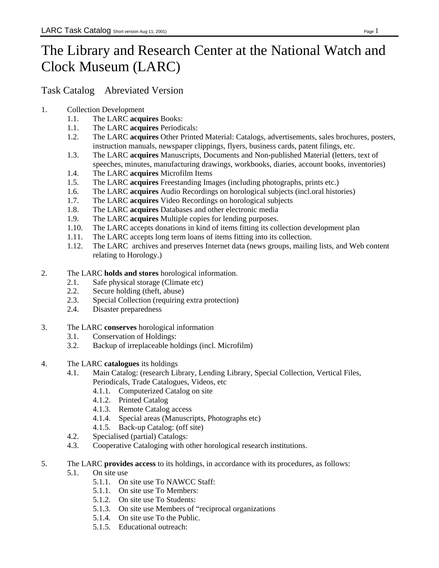## The Library and Research Center at the National Watch and Clock Museum (LARC)

Task Catalog Abreviated Version

- 1. Collection Development
	- 1.1. The LARC **acquires** Books:
	- 1.1. The LARC **acquires** Periodicals:
	- 1.2. The LARC **acquires** Other Printed Material: Catalogs, advertisements, sales brochures, posters, instruction manuals, newspaper clippings, flyers, business cards, patent filings, etc.
	- 1.3. The LARC **acquires** Manuscripts, Documents and Non-published Material (letters, text of speeches, minutes, manufacturing drawings, workbooks, diaries, account books, inventories)
	- 1.4. The LARC **acquires** Microfilm Items
	- 1.5. The LARC **acquires** Freestanding Images (including photographs, prints etc.)
	- 1.6. The LARC **acquires** Audio Recordings on horological subjects (incl.oral histories)
	- 1.7. The LARC **acquires** Video Recordings on horological subjects
	- 1.8. The LARC **acquires** Databases and other electronic media
	- 1.9. The LARC **acquires** Multiple copies for lending purposes.
	- 1.10. The LARC accepts donations in kind of items fitting its collection development plan
	- 1.11. The LARC accepts long term loans of items fitting into its collection.
	- 1.12. The LARC archives and preserves Internet data (news groups, mailing lists, and Web content relating to Horology.)
- 2. The LARC **holds and stores** horological information.
	- 2.1. Safe physical storage (Climate etc)
	- 2.2. Secure holding (theft, abuse)
	- 2.3. Special Collection (requiring extra protection)
	- 2.4. Disaster preparedness
- 3. The LARC **conserves** horological information
	- 3.1. Conservation of Holdings:
	- 3.2. Backup of irreplaceable holdings (incl. Microfilm)
- 4. The LARC **catalogues** its holdings
	- 4.1. Main Catalog: (research Library, Lending Library, Special Collection, Vertical Files, Periodicals, Trade Catalogues, Videos, etc
		- 4.1.1. Computerized Catalog on site
		- 4.1.2. Printed Catalog
		- 4.1.3. Remote Catalog access
		- 4.1.4. Special areas (Manuscripts, Photographs etc)
		- 4.1.5. Back-up Catalog: (off site)
	- 4.2. Specialised (partial) Catalogs:
	- 4.3. Cooperative Cataloging with other horological research institutions.
- 5. The LARC **provides access** to its holdings, in accordance with its procedures, as follows: 5.1. On site use
	- 5.1.1. On site use To NAWCC Staff:
	- 5.1.1. On site use To Members:
	- 5.1.2. On site use To Students:
	- 5.1.3. On site use Members of "reciprocal organizations
	- 5.1.4. On site use To the Public.
	- 5.1.5. Educational outreach: